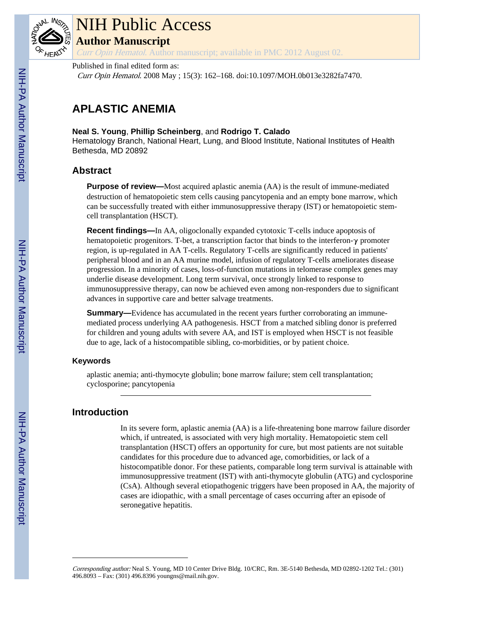

# NIH Public Access

**Author Manuscript**

Curr Opin Hematol. Author manuscript; available in PMC 2012 August 02.

## Published in final edited form as:

Curr Opin Hematol. 2008 May ; 15(3): 162–168. doi:10.1097/MOH.0b013e3282fa7470.

## **APLASTIC ANEMIA**

## **Neal S. Young**, **Phillip Scheinberg**, and **Rodrigo T. Calado**

Hematology Branch, National Heart, Lung, and Blood Institute, National Institutes of Health Bethesda, MD 20892

## **Abstract**

**Purpose of review—**Most acquired aplastic anemia (AA) is the result of immune-mediated destruction of hematopoietic stem cells causing pancytopenia and an empty bone marrow, which can be successfully treated with either immunosuppressive therapy (IST) or hematopoietic stemcell transplantation (HSCT).

**Recent findings—**In AA, oligoclonally expanded cytotoxic T-cells induce apoptosis of hematopoietic progenitors. T-bet, a transcription factor that binds to the interferon-γ promoter region, is up-regulated in AA T-cells. Regulatory T-cells are significantly reduced in patients' peripheral blood and in an AA murine model, infusion of regulatory T-cells ameliorates disease progression. In a minority of cases, loss-of-function mutations in telomerase complex genes may underlie disease development. Long term survival, once strongly linked to response to immunosuppressive therapy, can now be achieved even among non-responders due to significant advances in supportive care and better salvage treatments.

**Summary—**Evidence has accumulated in the recent years further corroborating an immunemediated process underlying AA pathogenesis. HSCT from a matched sibling donor is preferred for children and young adults with severe AA, and IST is employed when HSCT is not feasible due to age, lack of a histocompatible sibling, co-morbidities, or by patient choice.

## **Keywords**

aplastic anemia; anti-thymocyte globulin; bone marrow failure; stem cell transplantation; cyclosporine; pancytopenia

## **Introduction**

In its severe form, aplastic anemia (AA) is a life-threatening bone marrow failure disorder which, if untreated, is associated with very high mortality. Hematopoietic stem cell transplantation (HSCT) offers an opportunity for cure, but most patients are not suitable candidates for this procedure due to advanced age, comorbidities, or lack of a histocompatible donor. For these patients, comparable long term survival is attainable with immunosuppressive treatment (IST) with anti-thymocyte globulin (ATG) and cyclosporine (CsA). Although several etiopathogenic triggers have been proposed in AA, the majority of cases are idiopathic, with a small percentage of cases occurring after an episode of seronegative hepatitis.

Corresponding author: Neal S. Young, MD 10 Center Drive Bldg. 10/CRC, Rm. 3E-5140 Bethesda, MD 02892-1202 Tel.: (301) 496.8093 – Fax: (301) 496.8396 youngns@mail.nih.gov.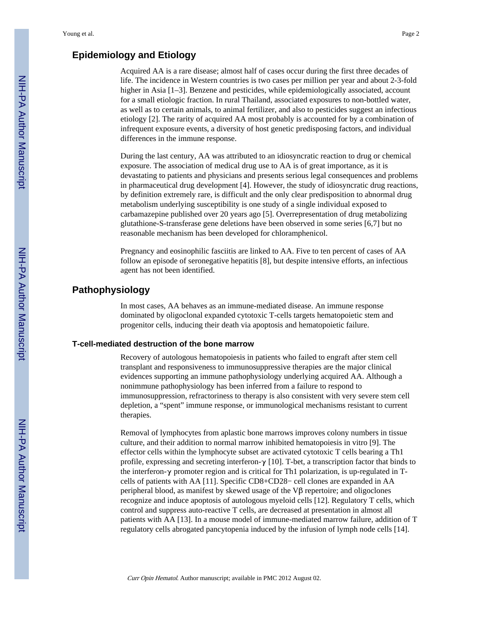## **Epidemiology and Etiology**

Acquired AA is a rare disease; almost half of cases occur during the first three decades of life. The incidence in Western countries is two cases per million per year and about 2-3-fold higher in Asia [1–3]. Benzene and pesticides, while epidemiologically associated, account for a small etiologic fraction. In rural Thailand, associated exposures to non-bottled water, as well as to certain animals, to animal fertilizer, and also to pesticides suggest an infectious etiology [2]. The rarity of acquired AA most probably is accounted for by a combination of infrequent exposure events, a diversity of host genetic predisposing factors, and individual differences in the immune response.

During the last century, AA was attributed to an idiosyncratic reaction to drug or chemical exposure. The association of medical drug use to AA is of great importance, as it is devastating to patients and physicians and presents serious legal consequences and problems in pharmaceutical drug development [4]. However, the study of idiosyncratic drug reactions, by definition extremely rare, is difficult and the only clear predisposition to abnormal drug metabolism underlying susceptibility is one study of a single individual exposed to carbamazepine published over 20 years ago [5]. Overrepresentation of drug metabolizing glutathione-S-transferase gene deletions have been observed in some series [6,7] but no reasonable mechanism has been developed for chloramphenicol.

Pregnancy and eosinophilic fasciitis are linked to AA. Five to ten percent of cases of AA follow an episode of seronegative hepatitis [8], but despite intensive efforts, an infectious agent has not been identified.

## **Pathophysiology**

In most cases, AA behaves as an immune-mediated disease. An immune response dominated by oligoclonal expanded cytotoxic T-cells targets hematopoietic stem and progenitor cells, inducing their death via apoptosis and hematopoietic failure.

#### **T-cell-mediated destruction of the bone marrow**

Recovery of autologous hematopoiesis in patients who failed to engraft after stem cell transplant and responsiveness to immunosuppressive therapies are the major clinical evidences supporting an immune pathophysiology underlying acquired AA. Although a nonimmune pathophysiology has been inferred from a failure to respond to immunosuppression, refractoriness to therapy is also consistent with very severe stem cell depletion, a "spent" immune response, or immunological mechanisms resistant to current therapies.

Removal of lymphocytes from aplastic bone marrows improves colony numbers in tissue culture, and their addition to normal marrow inhibited hematopoiesis in vitro [9]. The effector cells within the lymphocyte subset are activated cytotoxic T cells bearing a Th1 profile, expressing and secreting interferon- $\gamma$  [10]. T-bet, a transcription factor that binds to the interferon-γ promoter region and is critical for Th1 polarization, is up-regulated in Tcells of patients with AA [11]. Specific CD8+CD28− cell clones are expanded in AA peripheral blood, as manifest by skewed usage of the Vβ repertoire; and oligoclones recognize and induce apoptosis of autologous myeloid cells [12]. Regulatory T cells, which control and suppress auto-reactive T cells, are decreased at presentation in almost all patients with AA [13]. In a mouse model of immune-mediated marrow failure, addition of T regulatory cells abrogated pancytopenia induced by the infusion of lymph node cells [14].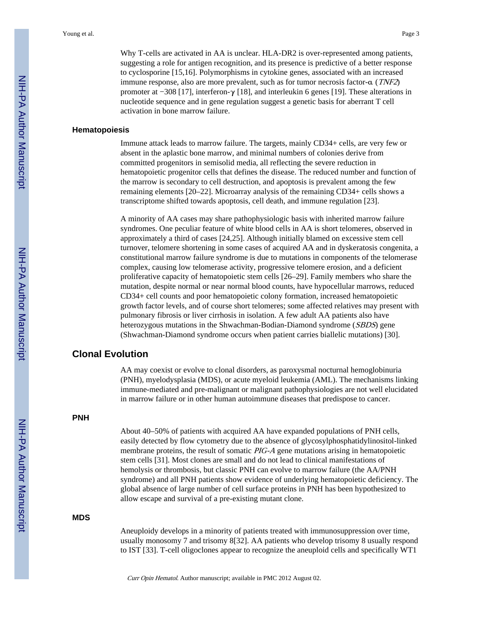Why T-cells are activated in AA is unclear. HLA-DR2 is over-represented among patients, suggesting a role for antigen recognition, and its presence is predictive of a better response to cyclosporine [15,16]. Polymorphisms in cytokine genes, associated with an increased immune response, also are more prevalent, such as for tumor necrosis factor-α (TNF2) promoter at −308 [17], interferon-γ [18], and interleukin 6 genes [19]. These alterations in nucleotide sequence and in gene regulation suggest a genetic basis for aberrant T cell activation in bone marrow failure.

#### **Hematopoiesis**

Immune attack leads to marrow failure. The targets, mainly CD34+ cells, are very few or absent in the aplastic bone marrow, and minimal numbers of colonies derive from committed progenitors in semisolid media, all reflecting the severe reduction in hematopoietic progenitor cells that defines the disease. The reduced number and function of the marrow is secondary to cell destruction, and apoptosis is prevalent among the few remaining elements [20–22]. Microarray analysis of the remaining CD34+ cells shows a transcriptome shifted towards apoptosis, cell death, and immune regulation [23].

A minority of AA cases may share pathophysiologic basis with inherited marrow failure syndromes. One peculiar feature of white blood cells in AA is short telomeres, observed in approximately a third of cases [24,25]. Although initially blamed on excessive stem cell turnover, telomere shortening in some cases of acquired AA and in dyskeratosis congenita, a constitutional marrow failure syndrome is due to mutations in components of the telomerase complex, causing low telomerase activity, progressive telomere erosion, and a deficient proliferative capacity of hematopoietic stem cells [26–29]. Family members who share the mutation, despite normal or near normal blood counts, have hypocellular marrows, reduced CD34+ cell counts and poor hematopoietic colony formation, increased hematopoietic growth factor levels, and of course short telomeres; some affected relatives may present with pulmonary fibrosis or liver cirrhosis in isolation. A few adult AA patients also have heterozygous mutations in the Shwachman-Bodian-Diamond syndrome (*SBDS*) gene (Shwachman-Diamond syndrome occurs when patient carries biallelic mutations) [30].

## **Clonal Evolution**

AA may coexist or evolve to clonal disorders, as paroxysmal nocturnal hemoglobinuria (PNH), myelodysplasia (MDS), or acute myeloid leukemia (AML). The mechanisms linking immune-mediated and pre-malignant or malignant pathophysiologies are not well elucidated in marrow failure or in other human autoimmune diseases that predispose to cancer.

#### **PNH**

About 40–50% of patients with acquired AA have expanded populations of PNH cells, easily detected by flow cytometry due to the absence of glycosylphosphatidylinositol-linked membrane proteins, the result of somatic PIG-A gene mutations arising in hematopoietic stem cells [31]. Most clones are small and do not lead to clinical manifestations of hemolysis or thrombosis, but classic PNH can evolve to marrow failure (the AA/PNH syndrome) and all PNH patients show evidence of underlying hematopoietic deficiency. The global absence of large number of cell surface proteins in PNH has been hypothesized to allow escape and survival of a pre-existing mutant clone.

#### **MDS**

Aneuploidy develops in a minority of patients treated with immunosuppression over time, usually monosomy 7 and trisomy 8[32]. AA patients who develop trisomy 8 usually respond to IST [33]. T-cell oligoclones appear to recognize the aneuploid cells and specifically WT1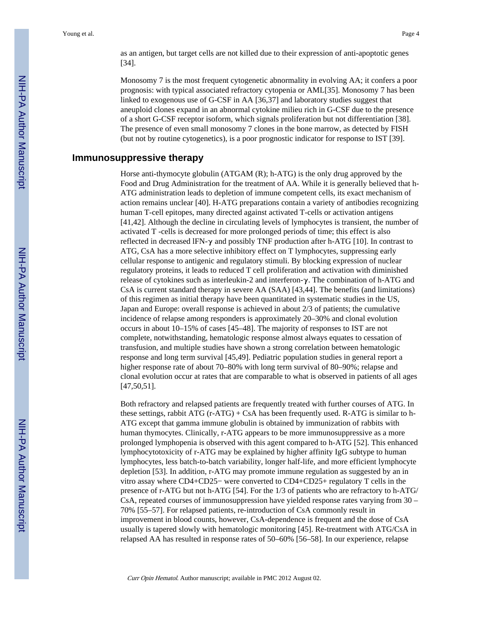as an antigen, but target cells are not killed due to their expression of anti-apoptotic genes [34].

Monosomy 7 is the most frequent cytogenetic abnormality in evolving AA; it confers a poor prognosis: with typical associated refractory cytopenia or AML[35]. Monosomy 7 has been linked to exogenous use of G-CSF in AA [36,37] and laboratory studies suggest that aneuploid clones expand in an abnormal cytokine milieu rich in G-CSF due to the presence of a short G-CSF receptor isoform, which signals proliferation but not differentiation [38]. The presence of even small monosomy 7 clones in the bone marrow, as detected by FISH (but not by routine cytogenetics), is a poor prognostic indicator for response to IST [39].

#### **Immunosuppressive therapy**

Horse anti-thymocyte globulin (ATGAM (R); h-ATG) is the only drug approved by the Food and Drug Administration for the treatment of AA. While it is generally believed that h-ATG administration leads to depletion of immune competent cells, its exact mechanism of action remains unclear [40]. H-ATG preparations contain a variety of antibodies recognizing human T-cell epitopes, many directed against activated T-cells or activation antigens [41,42]. Although the decline in circulating levels of lymphocytes is transient, the number of activated T -cells is decreased for more prolonged periods of time; this effect is also reflected in decreased lFN-γ and possibly TNF production after h-ATG [10]. In contrast to ATG, CsA has a more selective inhibitory effect on T lymphocytes, suppressing early cellular response to antigenic and regulatory stimuli. By blocking expression of nuclear regulatory proteins, it leads to reduced T cell proliferation and activation with diminished release of cytokines such as interleukin-2 and interferon-γ. The combination of h-ATG and CsA is current standard therapy in severe AA (SAA) [43,44]. The benefits (and limitations) of this regimen as initial therapy have been quantitated in systematic studies in the US, Japan and Europe: overall response is achieved in about 2/3 of patients; the cumulative incidence of relapse among responders is approximately 20–30% and clonal evolution occurs in about 10–15% of cases [45–48]. The majority of responses to IST are not complete, notwithstanding, hematologic response almost always equates to cessation of transfusion, and multiple studies have shown a strong correlation between hematologic response and long term survival [45,49]. Pediatric population studies in general report a higher response rate of about 70–80% with long term survival of 80–90%; relapse and clonal evolution occur at rates that are comparable to what is observed in patients of all ages [47,50,51].

Both refractory and relapsed patients are frequently treated with further courses of ATG. In these settings, rabbit ATG (r-ATG) + CsA has been frequently used. R-ATG is similar to h-ATG except that gamma immune globulin is obtained by immunization of rabbits with human thymocytes. Clinically, r-ATG appears to be more immunosuppressive as a more prolonged lymphopenia is observed with this agent compared to h-ATG [52]. This enhanced lymphocytotoxicity of r-ATG may be explained by higher affinity IgG subtype to human lymphocytes, less batch-to-batch variability, longer half-life, and more efficient lymphocyte depletion [53]. In addition, r-ATG may promote immune regulation as suggested by an in vitro assay where CD4+CD25− were converted to CD4+CD25+ regulatory T cells in the presence of r-ATG but not h-ATG [54]. For the 1/3 of patients who are refractory to h-ATG/ CsA, repeated courses of immunosuppression have yielded response rates varying from 30 – 70% [55–57]. For relapsed patients, re-introduction of CsA commonly result in improvement in blood counts, however, CsA-dependence is frequent and the dose of CsA usually is tapered slowly with hematologic monitoring [45]. Re-treatment with ATG/CsA in relapsed AA has resulted in response rates of 50–60% [56–58]. In our experience, relapse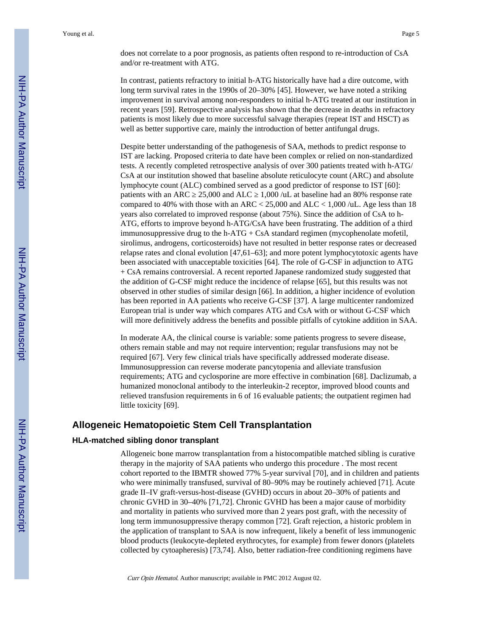does not correlate to a poor prognosis, as patients often respond to re-introduction of CsA and/or re-treatment with ATG.

In contrast, patients refractory to initial h-ATG historically have had a dire outcome, with long term survival rates in the 1990s of 20–30% [45]. However, we have noted a striking improvement in survival among non-responders to initial h-ATG treated at our institution in recent years [59]. Retrospective analysis has shown that the decrease in deaths in refractory patients is most likely due to more successful salvage therapies (repeat IST and HSCT) as well as better supportive care, mainly the introduction of better antifungal drugs.

Despite better understanding of the pathogenesis of SAA, methods to predict response to IST are lacking. Proposed criteria to date have been complex or relied on non-standardized tests. A recently completed retrospective analysis of over 300 patients treated with h-ATG/ CsA at our institution showed that baseline absolute reticulocyte count (ARC) and absolute lymphocyte count (ALC) combined served as a good predictor of response to IST [60]: patients with an ARC 25,000 and ALC 1,000 /uL at baseline had an 80% response rate compared to 40% with those with an ARC < 25,000 and ALC < 1,000 /uL. Age less than 18 years also correlated to improved response (about 75%). Since the addition of CsA to h-ATG, efforts to improve beyond h-ATG/CsA have been frustrating. The addition of a third immunosuppressive drug to the h-ATG  $+$  CsA standard regimen (mycophenolate mofetil, sirolimus, androgens, corticosteroids) have not resulted in better response rates or decreased relapse rates and clonal evolution [47,61–63]; and more potent lymphocytotoxic agents have been associated with unacceptable toxicities [64]. The role of G-CSF in adjunction to ATG + CsA remains controversial. A recent reported Japanese randomized study suggested that the addition of G-CSF might reduce the incidence of relapse [65], but this results was not observed in other studies of similar design [66]. In addition, a higher incidence of evolution has been reported in AA patients who receive G-CSF [37]. A large multicenter randomized European trial is under way which compares ATG and CsA with or without G-CSF which will more definitively address the benefits and possible pitfalls of cytokine addition in SAA.

In moderate AA, the clinical course is variable: some patients progress to severe disease, others remain stable and may not require intervention; regular transfusions may not be required [67]. Very few clinical trials have specifically addressed moderate disease. Immunosuppression can reverse moderate pancytopenia and alleviate transfusion requirements; ATG and cyclosporine are more effective in combination [68]. Daclizumab, a humanized monoclonal antibody to the interleukin-2 receptor, improved blood counts and relieved transfusion requirements in 6 of 16 evaluable patients; the outpatient regimen had little toxicity [69].

## **Allogeneic Hematopoietic Stem Cell Transplantation**

#### **HLA-matched sibling donor transplant**

Allogeneic bone marrow transplantation from a histocompatible matched sibling is curative therapy in the majority of SAA patients who undergo this procedure . The most recent cohort reported to the IBMTR showed 77% 5-year survival [70], and in children and patients who were minimally transfused, survival of 80–90% may be routinely achieved [71]. Acute grade II–IV graft-versus-host-disease (GVHD) occurs in about 20–30% of patients and chronic GVHD in 30–40% [71,72]. Chronic GVHD has been a major cause of morbidity and mortality in patients who survived more than 2 years post graft, with the necessity of long term immunosuppressive therapy common [72]. Graft rejection, a historic problem in the application of transplant to SAA is now infrequent, likely a benefit of less immunogenic blood products (leukocyte-depleted erythrocytes, for example) from fewer donors (platelets collected by cytoapheresis) [73,74]. Also, better radiation-free conditioning regimens have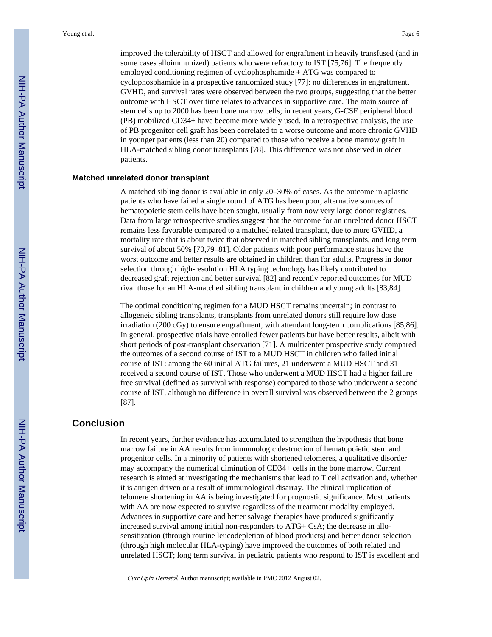improved the tolerability of HSCT and allowed for engraftment in heavily transfused (and in some cases alloimmunized) patients who were refractory to IST [75,76]. The frequently employed conditioning regimen of cyclophosphamide + ATG was compared to cyclophosphamide in a prospective randomized study [77]: no differences in engraftment, GVHD, and survival rates were observed between the two groups, suggesting that the better outcome with HSCT over time relates to advances in supportive care. The main source of stem cells up to 2000 has been bone marrow cells; in recent years, G-CSF peripheral blood (PB) mobilized CD34+ have become more widely used. In a retrospective analysis, the use of PB progenitor cell graft has been correlated to a worse outcome and more chronic GVHD in younger patients (less than 20) compared to those who receive a bone marrow graft in HLA-matched sibling donor transplants [78]. This difference was not observed in older patients.

#### **Matched unrelated donor transplant**

A matched sibling donor is available in only 20–30% of cases. As the outcome in aplastic patients who have failed a single round of ATG has been poor, alternative sources of hematopoietic stem cells have been sought, usually from now very large donor registries. Data from large retrospective studies suggest that the outcome for an unrelated donor HSCT remains less favorable compared to a matched-related transplant, due to more GVHD, a mortality rate that is about twice that observed in matched sibling transplants, and long term survival of about 50% [70,79–81]. Older patients with poor performance status have the worst outcome and better results are obtained in children than for adults. Progress in donor selection through high-resolution HLA typing technology has likely contributed to decreased graft rejection and better survival [82] and recently reported outcomes for MUD rival those for an HLA-matched sibling transplant in children and young adults [83,84].

The optimal conditioning regimen for a MUD HSCT remains uncertain; in contrast to allogeneic sibling transplants, transplants from unrelated donors still require low dose irradiation (200 cGy) to ensure engraftment, with attendant long-term complications [85,86]. In general, prospective trials have enrolled fewer patients but have better results, albeit with short periods of post-transplant observation [71]. A multicenter prospective study compared the outcomes of a second course of IST to a MUD HSCT in children who failed initial course of IST: among the 60 initial ATG failures, 21 underwent a MUD HSCT and 31 received a second course of IST. Those who underwent a MUD HSCT had a higher failure free survival (defined as survival with response) compared to those who underwent a second course of IST, although no difference in overall survival was observed between the 2 groups [87].

### **Conclusion**

In recent years, further evidence has accumulated to strengthen the hypothesis that bone marrow failure in AA results from immunologic destruction of hematopoietic stem and progenitor cells. In a minority of patients with shortened telomeres, a qualitative disorder may accompany the numerical diminution of CD34+ cells in the bone marrow. Current research is aimed at investigating the mechanisms that lead to T cell activation and, whether it is antigen driven or a result of immunological disarray. The clinical implication of telomere shortening in AA is being investigated for prognostic significance. Most patients with AA are now expected to survive regardless of the treatment modality employed. Advances in supportive care and better salvage therapies have produced significantly increased survival among initial non-responders to ATG+ CsA; the decrease in allosensitization (through routine leucodepletion of blood products) and better donor selection (through high molecular HLA-typing) have improved the outcomes of both related and unrelated HSCT; long term survival in pediatric patients who respond to IST is excellent and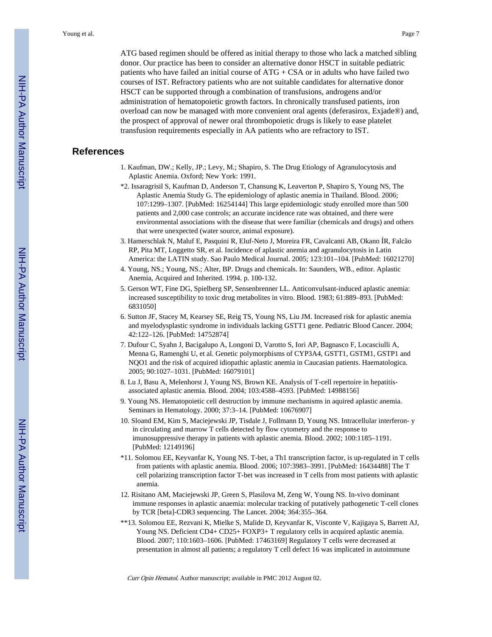ATG based regimen should be offered as initial therapy to those who lack a matched sibling donor. Our practice has been to consider an alternative donor HSCT in suitable pediatric patients who have failed an initial course of ATG + CSA or in adults who have failed two courses of IST. Refractory patients who are not suitable candidates for alternative donor HSCT can be supported through a combination of transfusions, androgens and/or administration of hematopoietic growth factors. In chronically transfused patients, iron overload can now be managed with more convenient oral agents (deferasirox, Exjade®) and, the prospect of approval of newer oral thrombopoietic drugs is likely to ease platelet transfusion requirements especially in AA patients who are refractory to IST.

## **References**

- 1. Kaufman, DW.; Kelly, JP.; Levy, M.; Shapiro, S. The Drug Etiology of Agranulocytosis and Aplastic Anemia. Oxford; New York: 1991.
- \*2. Issaragrisil S, Kaufman D, Anderson T, Chansung K, Leaverton P, Shapiro S, Young NS, The Aplastic Anemia Study G. The epidemiology of aplastic anemia in Thailand. Blood. 2006; 107:1299–1307. [PubMed: 16254144] This large epidemiologic study enrolled more than 500 patients and 2,000 case controls; an accurate incidence rate was obtained, and there were environmental associations with the disease that were familiar (chemicals and drugs) and others that were unexpected (water source, animal exposure).
- 3. Hamerschlak N, Maluf E, Pasquini R, Eluf-Neto J, Moreira FR, Cavalcanti AB, Okano ÍR, Falcão RP, Pita MT, Loggetto SR, et al. Incidence of aplastic anemia and agranulocytosis in Latin America: the LATIN study. Sao Paulo Medical Journal. 2005; 123:101–104. [PubMed: 16021270]
- 4. Young, NS.; Young, NS.; Alter, BP. Drugs and chemicals. In: Saunders, WB., editor. Aplastic Anemia, Acquired and Inherited. 1994. p. 100-132.
- 5. Gerson WT, Fine DG, Spielberg SP, Sensenbrenner LL. Anticonvulsant-induced aplastic anemia: increased susceptibility to toxic drug metabolites in vitro. Blood. 1983; 61:889–893. [PubMed: 6831050]
- 6. Sutton JF, Stacey M, Kearsey SE, Reig TS, Young NS, Liu JM. Increased risk for aplastic anemia and myelodysplastic syndrome in individuals lacking GSTT1 gene. Pediatric Blood Cancer. 2004; 42:122–126. [PubMed: 14752874]
- 7. Dufour C, Syahn J, Bacigalupo A, Longoni D, Varotto S, Iori AP, Bagnasco F, Locasciulli A, Menna G, Ramenghi U, et al. Genetic polymorphisms of CYP3A4, GSTT1, GSTM1, GSTP1 and NQO1 and the risk of acquired idiopathic aplastic anemia in Caucasian patients. Haematologica. 2005; 90:1027–1031. [PubMed: 16079101]
- 8. Lu J, Basu A, Melenhorst J, Young NS, Brown KE. Analysis of T-cell repertoire in hepatitisassociated aplastic anemia. Blood. 2004; 103:4588–4593. [PubMed: 14988156]
- 9. Young NS. Hematopoietic cell destruction by immune mechanisms in aquired aplastic anemia. Seminars in Hematology. 2000; 37:3–14. [PubMed: 10676907]
- 10. Sloand EM, Kim S, Maciejewski JP, Tisdale J, Follmann D, Young NS. Intracellular interferon- y in circulating and marrow T cells detected by flow cytometry and the response to imunosuppressive therapy in patients with aplastic anemia. Blood. 2002; 100:1185–1191. [PubMed: 12149196]
- \*11. Solomou EE, Keyvanfar K, Young NS. T-bet, a Th1 transcription factor, is up-regulated in T cells from patients with aplastic anemia. Blood. 2006; 107:3983–3991. [PubMed: 16434488] The T cell polarizing transcription factor T-bet was increased in T cells from most patients with aplastic anemia.
- 12. Risitano AM, Maciejewski JP, Green S, Plasilova M, Zeng W, Young NS. In-vivo dominant immune responses in aplastic anaemia: molecular tracking of putatively pathogenetic T-cell clones by TCR [beta]-CDR3 sequencing. The Lancet. 2004; 364:355–364.
- \*\*13. Solomou EE, Rezvani K, Mielke S, Malide D, Keyvanfar K, Visconte V, Kajigaya S, Barrett AJ, Young NS. Deficient CD4+ CD25+ FOXP3+ T regulatory cells in acquired aplastic anemia. Blood. 2007; 110:1603–1606. [PubMed: 17463169] Regulatory T cells were decreased at presentation in almost all patients; a regulatory T cell defect 16 was implicated in autoimmune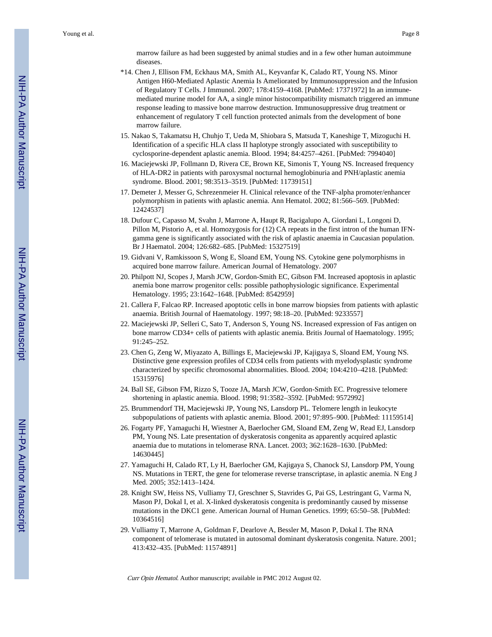marrow failure as had been suggested by animal studies and in a few other human autoimmune diseases.

- \*14. Chen J, Ellison FM, Eckhaus MA, Smith AL, Keyvanfar K, Calado RT, Young NS. Minor Antigen H60-Mediated Aplastic Anemia Is Ameliorated by Immunosuppression and the Infusion of Regulatory T Cells. J Immunol. 2007; 178:4159–4168. [PubMed: 17371972] In an immunemediated murine model for AA, a single minor histocompatibility mismatch triggered an immune response leading to massive bone marrow destruction. Immunosuppressive drug treatment or enhancement of regulatory T cell function protected animals from the development of bone marrow failure.
- 15. Nakao S, Takamatsu H, Chuhjo T, Ueda M, Shiobara S, Matsuda T, Kaneshige T, Mizoguchi H. Identification of a specific HLA class II haplotype strongly associated with susceptibility to cyclosporine-dependent aplastic anemia. Blood. 1994; 84:4257–4261. [PubMed: 7994040]
- 16. Maciejewski JP, Follmann D, Rivera CE, Brown KE, Simonis T, Young NS. Increased frequency of HLA-DR2 in patients with paroxysmal nocturnal hemoglobinuria and PNH/aplastic anemia syndrome. Blood. 2001; 98:3513–3519. [PubMed: 11739151]
- 17. Demeter J, Messer G, Schrezenmeier H. Clinical relevance of the TNF-alpha promoter/enhancer polymorphism in patients with aplastic anemia. Ann Hematol. 2002; 81:566–569. [PubMed: 12424537]
- 18. Dufour C, Capasso M, Svahn J, Marrone A, Haupt R, Bacigalupo A, Giordani L, Longoni D, Pillon M, Pistorio A, et al. Homozygosis for (12) CA repeats in the first intron of the human IFNgamma gene is significantly associated with the risk of aplastic anaemia in Caucasian population. Br J Haematol. 2004; 126:682–685. [PubMed: 15327519]
- 19. Gidvani V, Ramkissoon S, Wong E, Sloand EM, Young NS. Cytokine gene polymorphisms in acquired bone marrow failure. American Journal of Hematology. 2007
- 20. Philpott NJ, Scopes J, Marsh JCW, Gordon-Smith EC, Gibson FM. Increased apoptosis in aplastic anemia bone marrow progenitor cells: possible pathophysiologic significance. Experimental Hematology. 1995; 23:1642–1648. [PubMed: 8542959]
- 21. Callera F, Falcao RP. Increased apoptotic cells in bone marrow biopsies from patients with aplastic anaemia. British Journal of Haematology. 1997; 98:18–20. [PubMed: 9233557]
- 22. Maciejewski JP, Selleri C, Sato T, Anderson S, Young NS. Increased expression of Fas antigen on bone marrow CD34+ cells of patients with aplastic anemia. Britis Journal of Haematology. 1995; 91:245–252.
- 23. Chen G, Zeng W, Miyazato A, Billings E, Maciejewski JP, Kajigaya S, Sloand EM, Young NS. Distinctive gene expression profiles of CD34 cells from patients with myelodysplastic syndrome characterized by specific chromosomal abnormalities. Blood. 2004; 104:4210–4218. [PubMed: 15315976]
- 24. Ball SE, Gibson FM, Rizzo S, Tooze JA, Marsh JCW, Gordon-Smith EC. Progressive telomere shortening in aplastic anemia. Blood. 1998; 91:3582–3592. [PubMed: 9572992]
- 25. Brummendorf TH, Maciejewski JP, Young NS, Lansdorp PL. Telomere length in leukocyte subpopulations of patients with aplastic anemia. Blood. 2001; 97:895–900. [PubMed: 11159514]
- 26. Fogarty PF, Yamaguchi H, Wiestner A, Baerlocher GM, Sloand EM, Zeng W, Read EJ, Lansdorp PM, Young NS. Late presentation of dyskeratosis congenita as apparently acquired aplastic anaemia due to mutations in telomerase RNA. Lancet. 2003; 362:1628–1630. [PubMed: 14630445]
- 27. Yamaguchi H, Calado RT, Ly H, Baerlocher GM, Kajigaya S, Chanock SJ, Lansdorp PM, Young NS. Mutations in TERT, the gene for telomerase reverse transcriptase, in aplastic anemia. N Eng J Med. 2005; 352:1413–1424.
- 28. Knight SW, Heiss NS, Vulliamy TJ, Greschner S, Stavrides G, Pai GS, Lestringant G, Varma N, Mason PJ, Dokal I, et al. X-linked dyskeratosis congenita is predominantly caused by missense mutations in the DKC1 gene. American Journal of Human Genetics. 1999; 65:50–58. [PubMed: 10364516]
- 29. Vulliamy T, Marrone A, Goldman F, Dearlove A, Bessler M, Mason P, Dokal I. The RNA component of telomerase is mutated in autosomal dominant dyskeratosis congenita. Nature. 2001; 413:432–435. [PubMed: 11574891]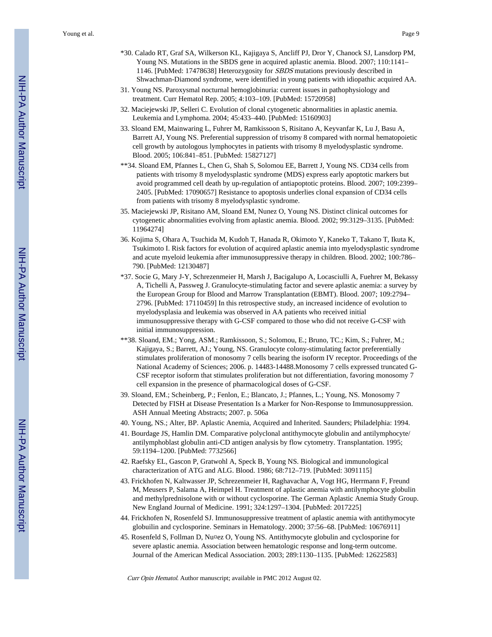- \*30. Calado RT, Graf SA, Wilkerson KL, Kajigaya S, Ancliff PJ, Dror Y, Chanock SJ, Lansdorp PM, Young NS. Mutations in the SBDS gene in acquired aplastic anemia. Blood. 2007; 110:1141– 1146. [PubMed: 17478638] Heterozygosity for SBDS mutations previously described in Shwachman-Diamond syndrome, were identified in young patients with idiopathic acquired AA.
- 31. Young NS. Paroxysmal nocturnal hemoglobinuria: current issues in pathophysiology and treatment. Curr Hematol Rep. 2005; 4:103–109. [PubMed: 15720958]
- 32. Maciejewski JP, Selleri C. Evolution of clonal cytogenetic abnormalities in aplastic anemia. Leukemia and Lymphoma. 2004; 45:433–440. [PubMed: 15160903]
- 33. Sloand EM, Mainwaring L, Fuhrer M, Ramkissoon S, Risitano A, Keyvanfar K, Lu J, Basu A, Barrett AJ, Young NS. Preferential suppression of trisomy 8 compared with normal hematopoietic cell growth by autologous lymphocytes in patients with trisomy 8 myelodysplastic syndrome. Blood. 2005; 106:841–851. [PubMed: 15827127]
- \*\*34. Sloand EM, Pfannes L, Chen G, Shah S, Solomou EE, Barrett J, Young NS. CD34 cells from patients with trisomy 8 myelodysplastic syndrome (MDS) express early apoptotic markers but avoid programmed cell death by up-regulation of antiapoptotic proteins. Blood. 2007; 109:2399– 2405. [PubMed: 17090657] Resistance to apoptosis underlies clonal expansion of CD34 cells from patients with trisomy 8 myelodysplastic syndrome.
- 35. Maciejewski JP, Risitano AM, Sloand EM, Nunez O, Young NS. Distinct clinical outcomes for cytogenetic abnormalities evolving from aplastic anemia. Blood. 2002; 99:3129–3135. [PubMed: 11964274]
- 36. Kojima S, Ohara A, Tsuchida M, Kudoh T, Hanada R, Okimoto Y, Kaneko T, Takano T, Ikuta K, Tsukimoto I. Risk factors for evolution of acquired aplastic anemia into myelodysplastic syndrome and acute myeloid leukemia after immunosuppressive therapy in children. Blood. 2002; 100:786– 790. [PubMed: 12130487]
- \*37. Socie G, Mary J-Y, Schrezenmeier H, Marsh J, Bacigalupo A, Locasciulli A, Fuehrer M, Bekassy A, Tichelli A, Passweg J. Granulocyte-stimulating factor and severe aplastic anemia: a survey by the European Group for Blood and Marrow Transplantation (EBMT). Blood. 2007; 109:2794– 2796. [PubMed: 17110459] In this retrospective study, an increased incidence of evolution to myelodysplasia and leukemia was observed in AA patients who received initial immunosuppressive therapy with G-CSF compared to those who did not receive G-CSF with initial immunosuppression.
- \*\*38. Sloand, EM.; Yong, ASM.; Ramkissoon, S.; Solomou, E.; Bruno, TC.; Kim, S.; Fuhrer, M.; Kajigaya, S.; Barrett, AJ.; Young, NS. Granulocyte colony-stimulating factor preferentially stimulates proliferation of monosomy 7 cells bearing the isoform IV receptor. Proceedings of the National Academy of Sciences; 2006. p. 14483-14488.Monosomy 7 cells expressed truncated G-CSF receptor isoform that stimulates proliferation but not differentiation, favoring monosomy 7 cell expansion in the presence of pharmacological doses of G-CSF.
- 39. Sloand, EM.; Scheinberg, P.; Fenlon, E.; Blancato, J.; Pfannes, L.; Young, NS. Monosomy 7 Detected by FISH at Disease Presentation Is a Marker for Non-Response to Immunosuppression. ASH Annual Meeting Abstracts; 2007. p. 506a
- 40. Young, NS.; Alter, BP. Aplastic Anemia, Acquired and Inherited. Saunders; Philadelphia: 1994.
- 41. Bourdage JS, Hamlin DM. Comparative polyclonal antithymocyte globulin and antilymphocyte/ antilymphoblast globulin anti-CD antigen analysis by flow cytometry. Transplantation. 1995; 59:1194–1200. [PubMed: 7732566]
- 42. Raefsky EL, Gascon P, Gratwohl A, Speck B, Young NS. Biological and immunological characterization of ATG and ALG. Blood. 1986; 68:712–719. [PubMed: 3091115]
- 43. Frickhofen N, Kaltwasser JP, Schrezenmeier H, Raghavachar A, Vogt HG, Herrmann F, Freund M, Meusers P, Salama A, Heimpel H. Treatment of aplastic anemia with antilymphocyte globulin and methylprednisolone with or without cyclosporine. The German Aplastic Anemia Study Group. New England Journal of Medicine. 1991; 324:1297–1304. [PubMed: 2017225]
- 44. Frickhofen N, Rosenfeld SJ. Immunosuppressive treatment of aplastic anemia with antithymocyte globuilin and cyclosporine. Seminars in Hematology. 2000; 37:56–68. [PubMed: 10676911]
- 45. Rosenfeld S, Follman D, Nu¤ez O, Young NS. Antithymocyte globulin and cyclosporine for severe aplastic anemia. Association between hematologic response and long-term outcome. Journal of the American Medical Association. 2003; 289:1130–1135. [PubMed: 12622583]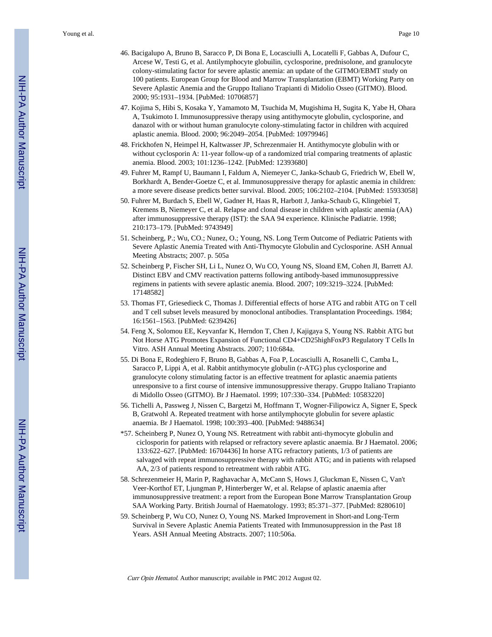- 46. Bacigalupo A, Bruno B, Saracco P, Di Bona E, Locasciulli A, Locatelli F, Gabbas A, Dufour C, Arcese W, Testi G, et al. Antilymphocyte globuilin, cyclosporine, prednisolone, and granulocyte colony-stimulating factor for severe aplastic anemia: an update of the GITMO/EBMT study on 100 patients. European Group for Blood and Marrow Transplantation (EBMT) Working Party on Severe Aplastic Anemia and the Gruppo Italiano Trapianti di Midolio Osseo (GITMO). Blood. 2000; 95:1931–1934. [PubMed: 10706857]
- 47. Kojima S, Hibi S, Kosaka Y, Yamamoto M, Tsuchida M, Mugishima H, Sugita K, Yabe H, Ohara A, Tsukimoto I. Immunosuppressive therapy using antithymocyte globulin, cyclosporine, and danazol with or without human granulocyte colony-stimulating factor in children with acquired aplastic anemia. Blood. 2000; 96:2049–2054. [PubMed: 10979946]
- 48. Frickhofen N, Heimpel H, Kaltwasser JP, Schrezenmaier H. Antithymocyte globulin with or without cyclosporin A: 11-year follow-up of a randomized trial comparing treatments of aplastic anemia. Blood. 2003; 101:1236–1242. [PubMed: 12393680]
- 49. Fuhrer M, Rampf U, Baumann I, Faldum A, Niemeyer C, Janka-Schaub G, Friedrich W, Ebell W, Borkhardt A, Bender-Goetze C, et al. Immunosuppressive therapy for aplastic anemia in children: a more severe disease predicts better survival. Blood. 2005; 106:2102–2104. [PubMed: 15933058]
- 50. Fuhrer M, Burdach S, Ebell W, Gadner H, Haas R, Harbott J, Janka-Schaub G, Klingebiel T, Kremens B, Niemeyer C, et al. Relapse and clonal disease in children with aplastic anemia (AA) after immunosuppressive therapy (IST): the SAA 94 experience. Klinische Padiatrie. 1998; 210:173–179. [PubMed: 9743949]
- 51. Scheinberg, P.; Wu, CO.; Nunez, O.; Young, NS. Long Term Outcome of Pediatric Patients with Severe Aplastic Anemia Treated with Anti-Thymocyte Globulin and Cyclosporine. ASH Annual Meeting Abstracts; 2007. p. 505a
- 52. Scheinberg P, Fischer SH, Li L, Nunez O, Wu CO, Young NS, Sloand EM, Cohen JI, Barrett AJ. Distinct EBV and CMV reactivation patterns following antibody-based immunosuppressive regimens in patients with severe aplastic anemia. Blood. 2007; 109:3219–3224. [PubMed: 17148582]
- 53. Thomas FT, Griesedieck C, Thomas J. Differential effects of horse ATG and rabbit ATG on T cell and T cell subset levels measured by monoclonal antibodies. Transplantation Proceedings. 1984; 16:1561–1563. [PubMed: 6239426]
- 54. Feng X, Solomou EE, Keyvanfar K, Herndon T, Chen J, Kajigaya S, Young NS. Rabbit ATG but Not Horse ATG Promotes Expansion of Functional CD4+CD25highFoxP3 Regulatory T Cells In Vitro. ASH Annual Meeting Abstracts. 2007; 110:684a.
- 55. Di Bona E, Rodeghiero F, Bruno B, Gabbas A, Foa P, Locasciulli A, Rosanelli C, Camba L, Saracco P, Lippi A, et al. Rabbit antithymocyte globulin (r-ATG) plus cyclosporine and granulocyte colony stimulating factor is an effective treatment for aplastic anaemia patients unresponsive to a first course of intensive immunosuppressive therapy. Gruppo Italiano Trapianto di Midollo Osseo (GITMO). Br J Haematol. 1999; 107:330–334. [PubMed: 10583220]
- 56. Tichelli A, Passweg J, Nissen C, Bargetzi M, Hoffmann T, Wogner-Filipowicz A, Signer E, Speck B, Gratwohl A. Repeated treatment with horse antilymphocyte globulin for severe aplastic anaemia. Br J Haematol. 1998; 100:393–400. [PubMed: 9488634]
- \*57. Scheinberg P, Nunez O, Young NS. Retreatment with rabbit anti-thymocyte globulin and ciclosporin for patients with relapsed or refractory severe aplastic anaemia. Br J Haematol. 2006; 133:622–627. [PubMed: 16704436] In horse ATG refractory patients, 1/3 of patients are salvaged with repeat immunosuppressive therapy with rabbit ATG; and in patients with relapsed AA, 2/3 of patients respond to retreatment with rabbit ATG.
- 58. Schrezenmeier H, Marin P, Raghavachar A, McCann S, Hows J, Gluckman E, Nissen C, Van't Veer-Korthof ET, Ljungman P, Hinterberger W, et al. Relapse of aplastic anaemia after immunosuppressive treatment: a report from the European Bone Marrow Transplantation Group SAA Working Party. British Journal of Haematology. 1993; 85:371–377. [PubMed: 8280610]
- 59. Scheinberg P, Wu CO, Nunez O, Young NS. Marked Improvement in Short-and Long-Term Survival in Severe Aplastic Anemia Patients Treated with Immunosuppression in the Past 18 Years. ASH Annual Meeting Abstracts. 2007; 110:506a.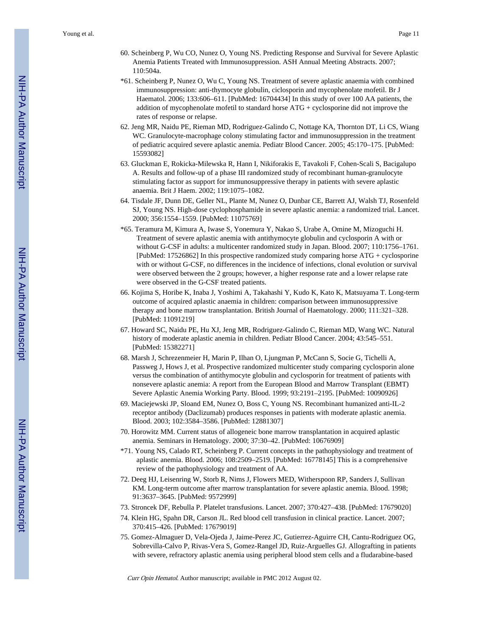- 60. Scheinberg P, Wu CO, Nunez O, Young NS. Predicting Response and Survival for Severe Aplastic Anemia Patients Treated with Immunosuppression. ASH Annual Meeting Abstracts. 2007; 110:504a.
- \*61. Scheinberg P, Nunez O, Wu C, Young NS. Treatment of severe aplastic anaemia with combined immunosuppression: anti-thymocyte globulin, ciclosporin and mycophenolate mofetil. Br J Haematol. 2006; 133:606–611. [PubMed: 16704434] In this study of over 100 AA patients, the addition of mycophenolate mofetil to standard horse ATG + cyclosporine did not improve the rates of response or relapse.
- 62. Jeng MR, Naidu PE, Rieman MD, Rodriguez-Galindo C, Nottage KA, Thornton DT, Li CS, Wiang WC. Granulocyte-macrophage colony stimulating factor and immunosuppression in the treatment of pediatric acquired severe aplastic anemia. Pediatr Blood Cancer. 2005; 45:170–175. [PubMed: 15593082]
- 63. Gluckman E, Rokicka-Milewska R, Hann I, Nikiforakis E, Tavakoli F, Cohen-Scali S, Bacigalupo A. Results and follow-up of a phase III randomized study of recombinant human-granulocyte stimulating factor as support for immunosuppressive therapy in patients with severe aplastic anaemia. Brit J Haem. 2002; 119:1075–1082.
- 64. Tisdale JF, Dunn DE, Geller NL, Plante M, Nunez O, Dunbar CE, Barrett AJ, Walsh TJ, Rosenfeld SJ, Young NS. High-dose cyclophosphamide in severe aplastic anemia: a randomized trial. Lancet. 2000; 356:1554–1559. [PubMed: 11075769]
- \*65. Teramura M, Kimura A, Iwase S, Yonemura Y, Nakao S, Urabe A, Omine M, Mizoguchi H. Treatment of severe aplastic anemia with antithymocyte globulin and cyclosporin A with or without G-CSF in adults: a multicenter randomized study in Japan. Blood. 2007; 110:1756–1761. [PubMed: 17526862] In this prospective randomized study comparing horse ATG + cyclosporine with or without G-CSF, no differences in the incidence of infections, clonal evolution or survival were observed between the 2 groups; however, a higher response rate and a lower relapse rate were observed in the G-CSF treated patients.
- 66. Kojima S, Horibe K, Inaba J, Yoshimi A, Takahashi Y, Kudo K, Kato K, Matsuyama T. Long-term outcome of acquired aplastic anaemia in children: comparison between immunosuppressive therapy and bone marrow transplantation. British Journal of Haematology. 2000; 111:321–328. [PubMed: 11091219]
- 67. Howard SC, Naidu PE, Hu XJ, Jeng MR, Rodriguez-Galindo C, Rieman MD, Wang WC. Natural history of moderate aplastic anemia in children. Pediatr Blood Cancer. 2004; 43:545–551. [PubMed: 15382271]
- 68. Marsh J, Schrezenmeier H, Marin P, Ilhan O, Ljungman P, McCann S, Socie G, Tichelli A, Passweg J, Hows J, et al. Prospective randomized multicenter study comparing cyclosporin alone versus the combination of antithymocyte globulin and cyclosporin for treatment of patients with nonsevere aplastic anemia: A report from the European Blood and Marrow Transplant (EBMT) Severe Aplastic Anemia Working Party. Blood. 1999; 93:2191–2195. [PubMed: 10090926]
- 69. Maciejewski JP, Sloand EM, Nunez O, Boss C, Young NS. Recombinant humanized anti-IL-2 receptor antibody (Daclizumab) produces responses in patients with moderate aplastic anemia. Blood. 2003; 102:3584–3586. [PubMed: 12881307]
- 70. Horowitz MM. Current status of allogeneic bone marrow transplantation in acquired aplastic anemia. Seminars in Hematology. 2000; 37:30–42. [PubMed: 10676909]
- \*71. Young NS, Calado RT, Scheinberg P. Current concepts in the pathophysiology and treatment of aplastic anemia. Blood. 2006; 108:2509–2519. [PubMed: 16778145] This is a comprehensive review of the pathophysiology and treatment of AA.
- 72. Deeg HJ, Leisenring W, Storb R, Nims J, Flowers MED, Witherspoon RP, Sanders J, Sullivan KM. Long-term outcome after marrow transplantation for severe aplastic anemia. Blood. 1998; 91:3637–3645. [PubMed: 9572999]
- 73. Stroncek DF, Rebulla P. Platelet transfusions. Lancet. 2007; 370:427–438. [PubMed: 17679020]
- 74. Klein HG, Spahn DR, Carson JL. Red blood cell transfusion in clinical practice. Lancet. 2007; 370:415–426. [PubMed: 17679019]
- 75. Gomez-Almaguer D, Vela-Ojeda J, Jaime-Perez JC, Gutierrez-Aguirre CH, Cantu-Rodriguez OG, Sobrevilla-Calvo P, Rivas-Vera S, Gomez-Rangel JD, Ruiz-Arguelles GJ. Allografting in patients with severe, refractory aplastic anemia using peripheral blood stem cells and a fludarabine-based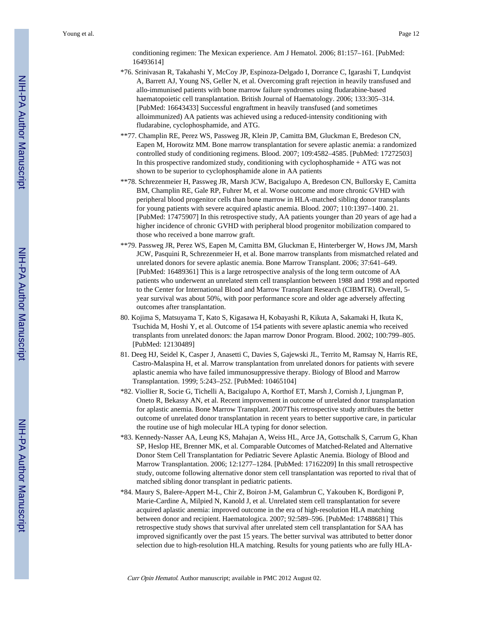conditioning regimen: The Mexican experience. Am J Hematol. 2006; 81:157–161. [PubMed: 16493614]

- \*76. Srinivasan R, Takahashi Y, McCoy JP, Espinoza-Delgado I, Dorrance C, Igarashi T, Lundqvist A, Barrett AJ, Young NS, Geller N, et al. Overcoming graft rejection in heavily transfused and allo-immunised patients with bone marrow failure syndromes using fludarabine-based haematopoietic cell transplantation. British Journal of Haematology. 2006; 133:305–314. [PubMed: 16643433] Successful engraftment in heavily transfused (and sometimes alloimmunized) AA patients was achieved using a reduced-intensity conditioning with fludarabine, cyclophosphamide, and ATG.
- \*\*77. Champlin RE, Perez WS, Passweg JR, Klein JP, Camitta BM, Gluckman E, Bredeson CN, Eapen M, Horowitz MM. Bone marrow transplantation for severe aplastic anemia: a randomized controlled study of conditioning regimens. Blood. 2007; 109:4582–4585. [PubMed: 17272503] In this prospective randomized study, conditioning with cyclophosphamide + ATG was not shown to be superior to cyclophosphamide alone in AA patients
- \*\*78. Schrezenmeier H, Passweg JR, Marsh JCW, Bacigalupo A, Bredeson CN, Bullorsky E, Camitta BM, Champlin RE, Gale RP, Fuhrer M, et al. Worse outcome and more chronic GVHD with peripheral blood progenitor cells than bone marrow in HLA-matched sibling donor transplants for young patients with severe acquired aplastic anemia. Blood. 2007; 110:1397–1400. 21. [PubMed: 17475907] In this retrospective study, AA patients younger than 20 years of age had a higher incidence of chronic GVHD with peripheral blood progenitor mobilization compared to those who received a bone marrow graft.
- \*\*79. Passweg JR, Perez WS, Eapen M, Camitta BM, Gluckman E, Hinterberger W, Hows JM, Marsh JCW, Pasquini R, Schrezenmeier H, et al. Bone marrow transplants from mismatched related and unrelated donors for severe aplastic anemia. Bone Marrow Transplant. 2006; 37:641–649. [PubMed: 16489361] This is a large retrospective analysis of the long term outcome of AA patients who underwent an unrelated stem cell transplantion between 1988 and 1998 and reported to the Center for International Blood and Marrow Transplant Research (CIBMTR). Overall, 5 year survival was about 50%, with poor performance score and older age adversely affecting outcomes after transplantation.
- 80. Kojima S, Matsuyama T, Kato S, Kigasawa H, Kobayashi R, Kikuta A, Sakamaki H, Ikuta K, Tsuchida M, Hoshi Y, et al. Outcome of 154 patients with severe aplastic anemia who received transplants from unrelated donors: the Japan marrow Donor Program. Blood. 2002; 100:799–805. [PubMed: 12130489]
- 81. Deeg HJ, Seidel K, Casper J, Anasetti C, Davies S, Gajewski JL, Territo M, Ramsay N, Harris RE, Castro-Malaspina H, et al. Marrow transplantation from unrelated donors for patients with severe aplastic anemia who have failed immunosuppressive therapy. Biology of Blood and Marrow Transplantation. 1999; 5:243–252. [PubMed: 10465104]
- \*82. Viollier R, Socie G, Tichelli A, Bacigalupo A, Korthof ET, Marsh J, Cornish J, Ljungman P, Oneto R, Bekassy AN, et al. Recent improvement in outcome of unrelated donor transplantation for aplastic anemia. Bone Marrow Transplant. 2007This retrospective study attributes the better outcome of unrelated donor transplantation in recent years to better supportive care, in particular the routine use of high molecular HLA typing for donor selection.
- \*83. Kennedy-Nasser AA, Leung KS, Mahajan A, Weiss HL, Arce JA, Gottschalk S, Carrum G, Khan SP, Heslop HE, Brenner MK, et al. Comparable Outcomes of Matched-Related and Alternative Donor Stem Cell Transplantation for Pediatric Severe Aplastic Anemia. Biology of Blood and Marrow Transplantation. 2006; 12:1277–1284. [PubMed: 17162209] In this small retrospective study, outcome following alternative donor stem cell transplantation was reported to rival that of matched sibling donor transplant in pediatric patients.
- \*84. Maury S, Balere-Appert M-L, Chir Z, Boiron J-M, Galambrun C, Yakouben K, Bordigoni P, Marie-Cardine A, Milpied N, Kanold J, et al. Unrelated stem cell transplantation for severe acquired aplastic anemia: improved outcome in the era of high-resolution HLA matching between donor and recipient. Haematologica. 2007; 92:589–596. [PubMed: 17488681] This retrospective study shows that survival after unrelated stem cell transplantation for SAA has improved significantly over the past 15 years. The better survival was attributed to better donor selection due to high-resolution HLA matching. Results for young patients who are fully HLA-